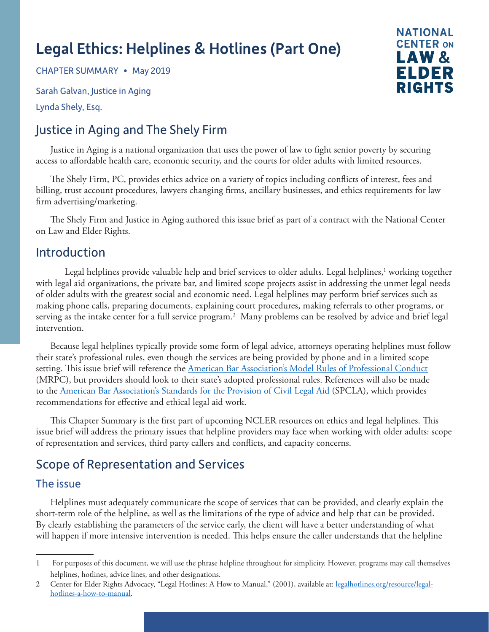# Legal Ethics: Helplines & Hotlines (Part One)

CHAPTER SUMMARY • May 2019

Sarah Galvan, Justice in Aging

Lynda Shely, Esq.

# Justice in Aging and The Shely Firm

Justice in Aging is a national organization that uses the power of law to fight senior poverty by securing access to affordable health care, economic security, and the courts for older adults with limited resources.

The Shely Firm, PC, provides ethics advice on a variety of topics including conflicts of interest, fees and billing, trust account procedures, lawyers changing firms, ancillary businesses, and ethics requirements for law firm advertising/marketing.

The Shely Firm and Justice in Aging authored this issue brief as part of a contract with the National Center on Law and Elder Rights.

### Introduction

Legal helplines provide valuable help and brief services to older adults. Legal helplines,<sup>1</sup> working together with legal aid organizations, the private bar, and limited scope projects assist in addressing the unmet legal needs of older adults with the greatest social and economic need. Legal helplines may perform brief services such as making phone calls, preparing documents, explaining court procedures, making referrals to other programs, or serving as the intake center for a full service program.2 Many problems can be resolved by advice and brief legal intervention.

Because legal helplines typically provide some form of legal advice, attorneys operating helplines must follow their state's professional rules, even though the services are being provided by phone and in a limited scope setting. This issue brief will reference the [American Bar Association's Model Rules of Professional Conduct](https://www.americanbar.org/groups/professional_responsibility/publications/model_rules_of_professional_conduct/model_rules_of_professional_conduct_table_of_contents/) (MRPC), but providers should look to their state's adopted professional rules. References will also be made to the [American Bar Association's Standards for the Provision of Civil Legal Aid](https://www.lsc.gov/sites/default/files/Grants/civillegalaidstds2006.pdf) (SPCLA), which provides recommendations for effective and ethical legal aid work.

This Chapter Summary is the first part of upcoming NCLER resources on ethics and legal helplines. This issue brief will address the primary issues that helpline providers may face when working with older adults: scope of representation and services, third party callers and conflicts, and capacity concerns.

# Scope of Representation and Services

### The issue

Helplines must adequately communicate the scope of services that can be provided, and clearly explain the short-term role of the helpline, as well as the limitations of the type of advice and help that can be provided. By clearly establishing the parameters of the service early, the client will have a better understanding of what will happen if more intensive intervention is needed. This helps ensure the caller understands that the helpline



<sup>1</sup> For purposes of this document, we will use the phrase helpline throughout for simplicity. However, programs may call themselves helplines, hotlines, advice lines, and other designations.

<sup>2</sup> Center for Elder Rights Advocacy, "Legal Hotlines: A How to Manual," (2001), available at: [legalhotlines.org/resource/legal](https://legalhotlines.org/resource/legal-hotlines-a-how-to-manual)[hotlines-a-how-to-manual.](https://legalhotlines.org/resource/legal-hotlines-a-how-to-manual)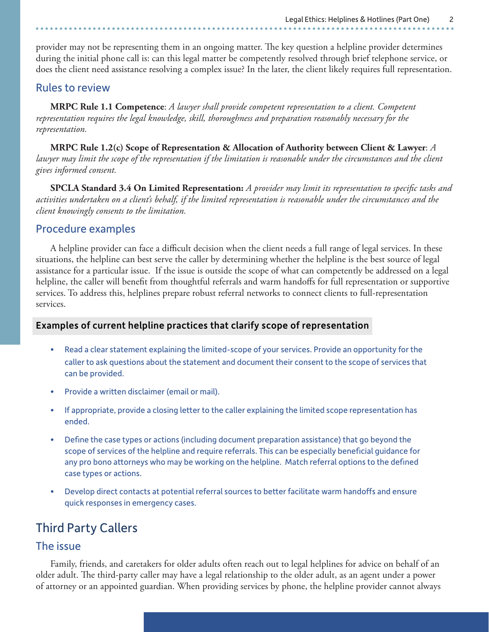provider may not be representing them in an ongoing matter. The key question a helpline provider determines during the initial phone call is: can this legal matter be competently resolved through brief telephone service, or does the client need assistance resolving a complex issue? In the later, the client likely requires full representation.

#### Rules to review

**MRPC Rule 1.1 Competence**: *A lawyer shall provide competent representation to a client. Competent representation requires the legal knowledge, skill, thoroughness and preparation reasonably necessary for the representation.*

**MRPC Rule 1.2(c) Scope of Representation & Allocation of Authority between Client & Lawyer**: *A lawyer may limit the scope of the representation if the limitation is reasonable under the circumstances and the client gives informed consent.*

**SPCLA Standard 3.4 On Limited Representation:** *A provider may limit its representation to specific tasks and activities undertaken on a client's behalf, if the limited representation is reasonable under the circumstances and the client knowingly consents to the limitation.*

#### Procedure examples

A helpline provider can face a difficult decision when the client needs a full range of legal services. In these situations, the helpline can best serve the caller by determining whether the helpline is the best source of legal assistance for a particular issue. If the issue is outside the scope of what can competently be addressed on a legal helpline, the caller will benefit from thoughtful referrals and warm handoffs for full representation or supportive services. To address this, helplines prepare robust referral networks to connect clients to full-representation services.

#### Examples of current helpline practices that clarify scope of representation

- Read a clear statement explaining the limited-scope of your services. Provide an opportunity for the caller to ask questions about the statement and document their consent to the scope of services that can be provided.
- Provide a written disclaimer (email or mail).
- If appropriate, provide a closing letter to the caller explaining the limited scope representation has ended.
- Define the case types or actions (including document preparation assistance) that go beyond the scope of services of the helpline and require referrals. This can be especially beneficial guidance for any pro bono attorneys who may be working on the helpline. Match referral options to the defined case types or actions.
- Develop direct contacts at potential referral sources to better facilitate warm handoffs and ensure quick responses in emergency cases.

## Third Party Callers

#### The issue

Family, friends, and caretakers for older adults often reach out to legal helplines for advice on behalf of an older adult. The third-party caller may have a legal relationship to the older adult, as an agent under a power of attorney or an appointed guardian. When providing services by phone, the helpline provider cannot always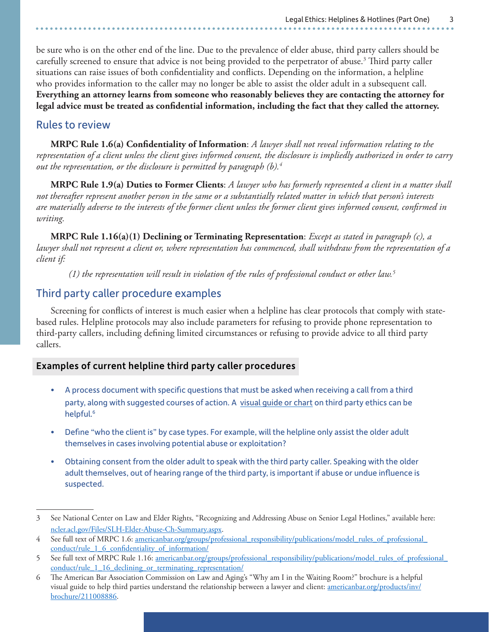be sure who is on the other end of the line. Due to the prevalence of elder abuse, third party callers should be carefully screened to ensure that advice is not being provided to the perpetrator of abuse.<sup>3</sup> Third party caller situations can raise issues of both confidentiality and conflicts. Depending on the information, a helpline who provides information to the caller may no longer be able to assist the older adult in a subsequent call. **Everything an attorney learns from someone who reasonably believes they are contacting the attorney for legal advice must be treated as confidential information, including the fact that they called the attorney.** 

#### Rules to review

**MRPC Rule 1.6(a) Confidentiality of Information**: *A lawyer shall not reveal information relating to the representation of a client unless the client gives informed consent, the disclosure is impliedly authorized in order to carry out the representation, or the disclosure is permitted by paragraph (b).4*

**MRPC Rule 1.9(a) Duties to Former Clients**: *A lawyer who has formerly represented a client in a matter shall not thereafter represent another person in the same or a substantially related matter in which that person's interests are materially adverse to the interests of the former client unless the former client gives informed consent, confirmed in writing.*

**MRPC Rule 1.16(a)(1) Declining or Terminating Representation**: *Except as stated in paragraph (c), a lawyer shall not represent a client or, where representation has commenced, shall withdraw from the representation of a client if:*

*(1) the representation will result in violation of the rules of professional conduct or other law.5*

#### Third party caller procedure examples

Screening for conflicts of interest is much easier when a helpline has clear protocols that comply with statebased rules. Helpline protocols may also include parameters for refusing to provide phone representation to third-party callers, including defining limited circumstances or refusing to provide advice to all third party callers.

#### Examples of current helpline third party caller procedures

- A process document with specific questions that must be asked when receiving a call from a third party, along with suggested courses of action. A [visual guide or chart](https://ncler.acl.gov/Files/Decision-Guides.aspx) on third party ethics can be helpful.<sup>6</sup>
- Define "who the client is" by case types. For example, will the helpline only assist the older adult themselves in cases involving potential abuse or exploitation?
- Obtaining consent from the older adult to speak with the third party caller. Speaking with the older adult themselves, out of hearing range of the third party, is important if abuse or undue influence is suspected.

<sup>3</sup> See National Center on Law and Elder Rights, "Recognizing and Addressing Abuse on Senior Legal Hotlines," available here: [ncler.acl.gov/Files/SLH-Elder-Abuse-Ch-Summary.aspx.](https://ncler.acl.gov/Files/SLH-Elder-Abuse-Ch-Summary.aspx)

<sup>4</sup> See full text of MRPC 1.6: [americanbar.org/groups/professional\\_responsibility/publications/model\\_rules\\_of\\_professional\\_](https://www.americanbar.org/groups/professional_responsibility/publications/model_rules_of_professional_conduct/rule_1_6_confidentiality_of_information/) [conduct/rule\\_1\\_6\\_confidentiality\\_of\\_information/](https://www.americanbar.org/groups/professional_responsibility/publications/model_rules_of_professional_conduct/rule_1_6_confidentiality_of_information/)

<sup>5</sup> See full text of MRPC Rule 1.16: [americanbar.org/groups/professional\\_responsibility/publications/model\\_rules\\_of\\_professional\\_](https://www.americanbar.org/groups/professional_responsibility/publications/model_rules_of_professional_conduct/rule_1_16_declining_or_terminating_representation/) [conduct/rule\\_1\\_16\\_declining\\_or\\_terminating\\_representation/](https://www.americanbar.org/groups/professional_responsibility/publications/model_rules_of_professional_conduct/rule_1_16_declining_or_terminating_representation/)

<sup>6</sup> The American Bar Association Commission on Law and Aging's "Why am I in the Waiting Room?" brochure is a helpful visual guide to help third parties understand the relationship between a lawyer and client: [americanbar.org/products/inv/](https://www.americanbar.org/products/inv/brochure/211008886) [brochure/211008886](https://www.americanbar.org/products/inv/brochure/211008886).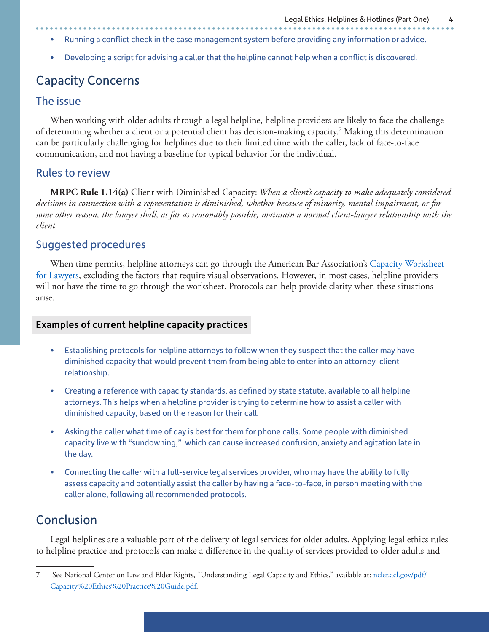- Running a conflict check in the case management system before providing any information or advice.
- Developing a script for advising a caller that the helpline cannot help when a conflict is discovered.

## Capacity Concerns

#### The issue

When working with older adults through a legal helpline, helpline providers are likely to face the challenge of determining whether a client or a potential client has decision-making capacity.7 Making this determination can be particularly challenging for helplines due to their limited time with the caller, lack of face-to-face communication, and not having a baseline for typical behavior for the individual.

#### Rules to review

**MRPC Rule 1.14(a)** Client with Diminished Capacity: *When a client's capacity to make adequately considered decisions in connection with a representation is diminished, whether because of minority, mental impairment, or for some other reason, the lawyer shall, as far as reasonably possible, maintain a normal client-lawyer relationship with the client.*

#### Suggested procedures

When time permits, helpline attorneys can go through the American Bar Association's Capacity Worksheet [for Lawyers](https://ncler.acl.gov/pdf/Capacity%20Ethics%20Practice%20Guide.pdf), excluding the factors that require visual observations. However, in most cases, helpline providers will not have the time to go through the worksheet. Protocols can help provide clarity when these situations arise.

#### Examples of current helpline capacity practices

- Establishing protocols for helpline attorneys to follow when they suspect that the caller may have diminished capacity that would prevent them from being able to enter into an attorney-client relationship.
- Creating a reference with capacity standards, as defined by state statute, available to all helpline attorneys. This helps when a helpline provider is trying to determine how to assist a caller with diminished capacity, based on the reason for their call.
- Asking the caller what time of day is best for them for phone calls. Some people with diminished capacity live with "sundowning," which can cause increased confusion, anxiety and agitation late in the day.
- Connecting the caller with a full-service legal services provider, who may have the ability to fully assess capacity and potentially assist the caller by having a face-to-face, in person meeting with the caller alone, following all recommended protocols.

## Conclusion

Legal helplines are a valuable part of the delivery of legal services for older adults. Applying legal ethics rules to helpline practice and protocols can make a difference in the quality of services provided to older adults and

<sup>7</sup> See National Center on Law and Elder Rights, "Understanding Legal Capacity and Ethics," available at: [ncler.acl.gov/pdf/](https://ncler.acl.gov/pdf/Capacity%20Ethics%20Practice%20Guide.pdf) [Capacity%20Ethics%20Practice%20Guide.pdf.](https://ncler.acl.gov/pdf/Capacity%20Ethics%20Practice%20Guide.pdf)